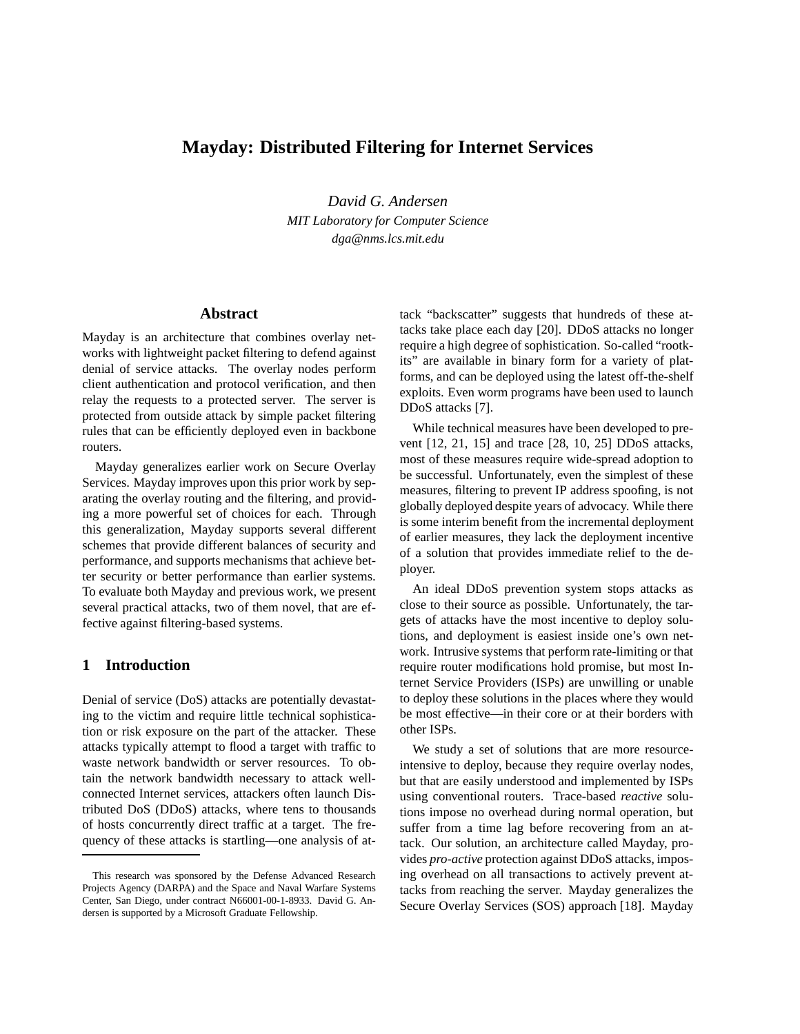# **Mayday: Distributed Filtering for Internet Services**

*David G. Andersen MIT Laboratory for Computer Science dga@nms.lcs.mit.edu*

#### **Abstract**

Mayday is an architecture that combines overlay networks with lightweight packet filtering to defend against denial of service attacks. The overlay nodes perform client authentication and protocol verification, and then relay the requests to a protected server. The server is protected from outside attack by simple packet filtering rules that can be efficiently deployed even in backbone routers.

Mayday generalizes earlier work on Secure Overlay Services. Mayday improves upon this prior work by separating the overlay routing and the filtering, and providing a more powerful set of choices for each. Through this generalization, Mayday supports several different schemes that provide different balances of security and performance, and supports mechanisms that achieve better security or better performance than earlier systems. To evaluate both Mayday and previous work, we present several practical attacks, two of them novel, that are effective against filtering-based systems.

### **1 Introduction**

Denial of service (DoS) attacks are potentially devastating to the victim and require little technical sophistication or risk exposure on the part of the attacker. These attacks typically attempt to flood a target with traffic to waste network bandwidth or server resources. To obtain the network bandwidth necessary to attack wellconnected Internet services, attackers often launch Distributed DoS (DDoS) attacks, where tens to thousands of hosts concurrently direct traffic at a target. The frequency of these attacks is startling—one analysis of at-

tack "backscatter" suggests that hundreds of these attacks take place each day [20]. DDoS attacks no longer require a high degree of sophistication. So-called "rootkits" are available in binary form for a variety of platforms, and can be deployed using the latest off-the-shelf exploits. Even worm programs have been used to launch DDoS attacks [7].

While technical measures have been developed to prevent [12, 21, 15] and trace [28, 10, 25] DDoS attacks, most of these measures require wide-spread adoption to be successful. Unfortunately, even the simplest of these measures, filtering to prevent IP address spoofing, is not globally deployed despite years of advocacy. While there is some interim benefit from the incremental deployment of earlier measures, they lack the deployment incentive of a solution that provides immediate relief to the deployer.

An ideal DDoS prevention system stops attacks as close to their source as possible. Unfortunately, the targets of attacks have the most incentive to deploy solutions, and deployment is easiest inside one's own network. Intrusive systems that perform rate-limiting or that require router modifications hold promise, but most Internet Service Providers (ISPs) are unwilling or unable to deploy these solutions in the places where they would be most effective—in their core or at their borders with other ISPs.

We study a set of solutions that are more resourceintensive to deploy, because they require overlay nodes, but that are easily understood and implemented by ISPs using conventional routers. Trace-based *reactive* solutions impose no overhead during normal operation, but suffer from a time lag before recovering from an attack. Our solution, an architecture called Mayday, provides *pro-active* protection against DDoS attacks, imposing overhead on all transactions to actively prevent attacks from reaching the server. Mayday generalizes the Secure Overlay Services (SOS) approach [18]. Mayday

This research was sponsored by the Defense Advanced Research Projects Agency (DARPA) and the Space and Naval Warfare Systems Center, San Diego, under contract N66001-00-1-8933. David G. Andersen is supported by a Microsoft Graduate Fellowship.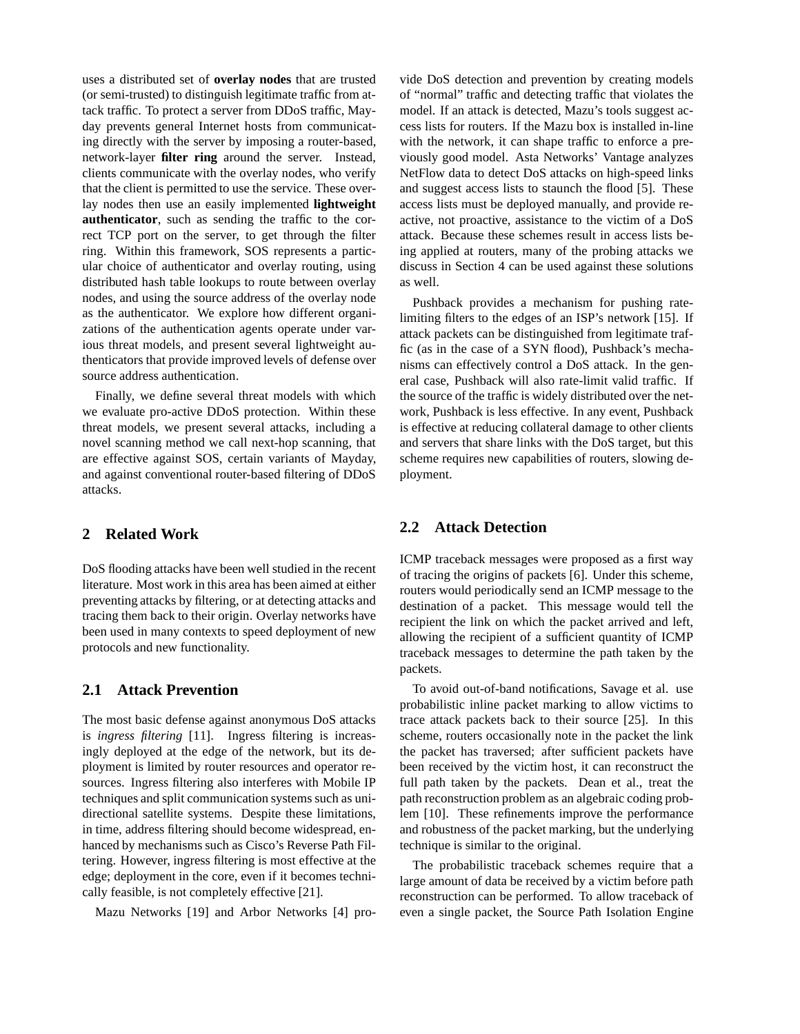uses a distributed set of **overlay nodes** that are trusted (or semi-trusted) to distinguish legitimate traffic from attack traffic. To protect a server from DDoS traffic, Mayday prevents general Internet hosts from communicating directly with the server by imposing a router-based, network-layer **filter ring** around the server. Instead, clients communicate with the overlay nodes, who verify that the client is permitted to use the service. These overlay nodes then use an easily implemented **lightweight authenticator**, such as sending the traffic to the correct TCP port on the server, to get through the filter ring. Within this framework, SOS represents a particular choice of authenticator and overlay routing, using distributed hash table lookups to route between overlay nodes, and using the source address of the overlay node as the authenticator. We explore how different organizations of the authentication agents operate under various threat models, and present several lightweight authenticators that provide improved levels of defense over source address authentication.

Finally, we define several threat models with which we evaluate pro-active DDoS protection. Within these threat models, we present several attacks, including a novel scanning method we call next-hop scanning, that are effective against SOS, certain variants of Mayday, and against conventional router-based filtering of DDoS attacks.

## **2 Related Work**

DoS flooding attacks have been well studied in the recent literature. Most work in this area has been aimed at either preventing attacks by filtering, or at detecting attacks and tracing them back to their origin. Overlay networks have been used in many contexts to speed deployment of new protocols and new functionality.

## **2.1 Attack Prevention**

The most basic defense against anonymous DoS attacks is *ingress filtering* [11]. Ingress filtering is increasingly deployed at the edge of the network, but its deployment is limited by router resources and operator resources. Ingress filtering also interferes with Mobile IP techniques and split communication systems such as unidirectional satellite systems. Despite these limitations, in time, address filtering should become widespread, enhanced by mechanisms such as Cisco's Reverse Path Filtering. However, ingress filtering is most effective at the edge; deployment in the core, even if it becomes technically feasible, is not completely effective [21].

Mazu Networks [19] and Arbor Networks [4] pro-

vide DoS detection and prevention by creating models of "normal" traffic and detecting traffic that violates the model. If an attack is detected, Mazu's tools suggest access lists for routers. If the Mazu box is installed in-line with the network, it can shape traffic to enforce a previously good model. Asta Networks' Vantage analyzes NetFlow data to detect DoS attacks on high-speed links and suggest access lists to staunch the flood [5]. These access lists must be deployed manually, and provide reactive, not proactive, assistance to the victim of a DoS attack. Because these schemes result in access lists being applied at routers, many of the probing attacks we discuss in Section 4 can be used against these solutions as well.

Pushback provides a mechanism for pushing ratelimiting filters to the edges of an ISP's network [15]. If attack packets can be distinguished from legitimate traffic (as in the case of a SYN flood), Pushback's mechanisms can effectively control a DoS attack. In the general case, Pushback will also rate-limit valid traffic. If the source of the traffic is widely distributed over the network, Pushback is less effective. In any event, Pushback is effective at reducing collateral damage to other clients and servers that share links with the DoS target, but this scheme requires new capabilities of routers, slowing deployment.

## **2.2 Attack Detection**

ICMP traceback messages were proposed as a first way of tracing the origins of packets [6]. Under this scheme, routers would periodically send an ICMP message to the destination of a packet. This message would tell the recipient the link on which the packet arrived and left, allowing the recipient of a sufficient quantity of ICMP traceback messages to determine the path taken by the packets.

To avoid out-of-band notifications, Savage et al. use probabilistic inline packet marking to allow victims to trace attack packets back to their source [25]. In this scheme, routers occasionally note in the packet the link the packet has traversed; after sufficient packets have been received by the victim host, it can reconstruct the full path taken by the packets. Dean et al., treat the path reconstruction problem as an algebraic coding problem [10]. These refinements improve the performance and robustness of the packet marking, but the underlying technique is similar to the original.

The probabilistic traceback schemes require that a large amount of data be received by a victim before path reconstruction can be performed. To allow traceback of even a single packet, the Source Path Isolation Engine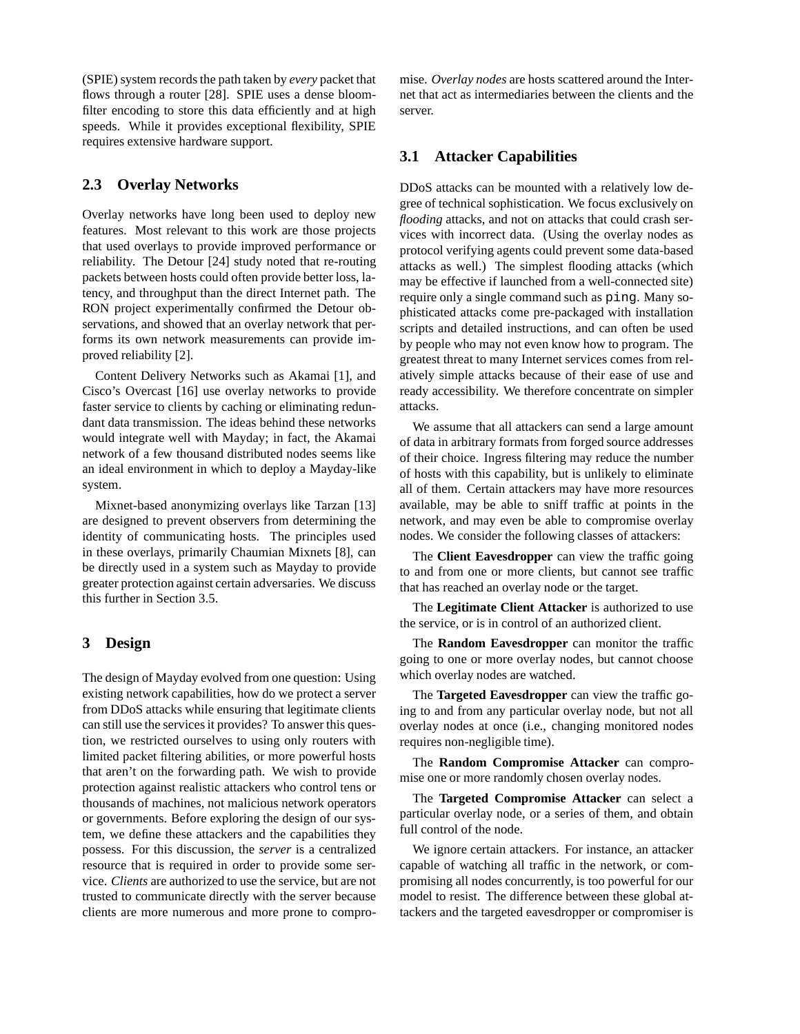(SPIE) system records the path taken by *every* packet that flows through a router [28]. SPIE uses a dense bloomfilter encoding to store this data efficiently and at high speeds. While it provides exceptional flexibility, SPIE requires extensive hardware support.

## **2.3 Overlay Networks**

Overlay networks have long been used to deploy new features. Most relevant to this work are those projects that used overlays to provide improved performance or reliability. The Detour [24] study noted that re-routing packets between hosts could often provide better loss, latency, and throughput than the direct Internet path. The RON project experimentally confirmed the Detour observations, and showed that an overlay network that performs its own network measurements can provide improved reliability [2].

Content Delivery Networks such as Akamai [1], and Cisco's Overcast [16] use overlay networks to provide faster service to clients by caching or eliminating redundant data transmission. The ideas behind these networks would integrate well with Mayday; in fact, the Akamai network of a few thousand distributed nodes seems like an ideal environment in which to deploy a Mayday-like system.

Mixnet-based anonymizing overlays like Tarzan [13] are designed to prevent observers from determining the identity of communicating hosts. The principles used in these overlays, primarily Chaumian Mixnets [8], can be directly used in a system such as Mayday to provide greater protection against certain adversaries. We discuss this further in Section 3.5.

### **3 Design**

The design of Mayday evolved from one question: Using existing network capabilities, how do we protect a server from DDoS attacks while ensuring that legitimate clients can still use the servicesit provides? To answer this question, we restricted ourselves to using only routers with limited packet filtering abilities, or more powerful hosts that aren't on the forwarding path. We wish to provide protection against realistic attackers who control tens or thousands of machines, not malicious network operators or governments. Before exploring the design of our system, we define these attackers and the capabilities they possess. For this discussion, the *server* is a centralized resource that is required in order to provide some service. *Clients* are authorized to use the service, but are not trusted to communicate directly with the server because clients are more numerous and more prone to compro-

mise. *Overlay nodes* are hosts scattered around the Internet that act as intermediaries between the clients and the server.

## **3.1 Attacker Capabilities**

DDoS attacks can be mounted with a relatively low degree of technical sophistication. We focus exclusively on *flooding* attacks, and not on attacks that could crash services with incorrect data. (Using the overlay nodes as protocol verifying agents could prevent some data-based attacks as well.) The simplest flooding attacks (which may be effective if launched from a well-connected site) require only a single command such as ping. Many sophisticated attacks come pre-packaged with installation scripts and detailed instructions, and can often be used by people who may not even know how to program. The greatest threat to many Internet services comes from relatively simple attacks because of their ease of use and ready accessibility. We therefore concentrate on simpler attacks.

We assume that all attackers can send a large amount of data in arbitrary formats from forged source addresses of their choice. Ingress filtering may reduce the number of hosts with this capability, but is unlikely to eliminate all of them. Certain attackers may have more resources available, may be able to sniff traffic at points in the network, and may even be able to compromise overlay nodes. We consider the following classes of attackers:

The **Client Eavesdropper** can view the traffic going to and from one or more clients, but cannot see traffic that has reached an overlay node or the target.

The **Legitimate Client Attacker** is authorized to use the service, or is in control of an authorized client.

The **Random Eavesdropper** can monitor the traffic going to one or more overlay nodes, but cannot choose which overlay nodes are watched.

The **Targeted Eavesdropper** can view the traffic going to and from any particular overlay node, but not all overlay nodes at once (i.e., changing monitored nodes requires non-negligible time).

The **Random Compromise Attacker** can compromise one or more randomly chosen overlay nodes.

The **Targeted Compromise Attacker** can select a particular overlay node, or a series of them, and obtain full control of the node.

We ignore certain attackers. For instance, an attacker capable of watching all traffic in the network, or compromising all nodes concurrently, is too powerful for our model to resist. The difference between these global attackers and the targeted eavesdropper or compromiser is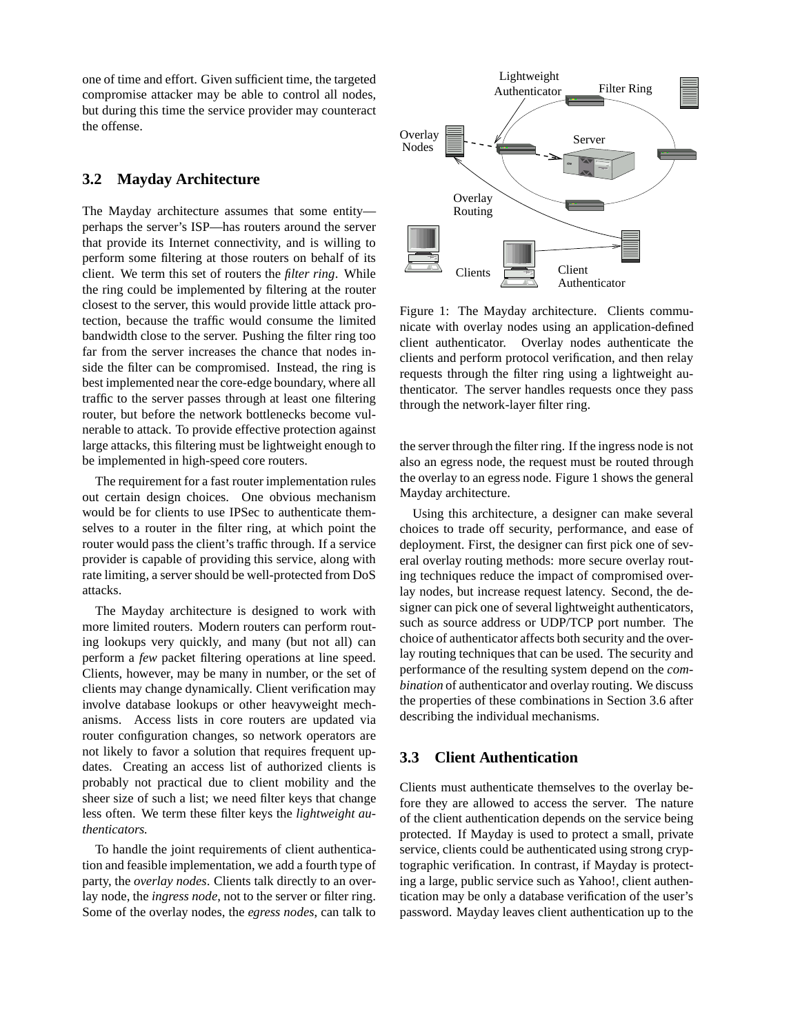one of time and effort. Given sufficient time, the targeted compromise attacker may be able to control all nodes, but during this time the service provider may counteract the offense.

# **3.2 Mayday Architecture**

The Mayday architecture assumes that some entity perhaps the server's ISP—has routers around the server that provide its Internet connectivity, and is willing to perform some filtering at those routers on behalf of its client. We term this set of routers the *filter ring*. While the ring could be implemented by filtering at the router closest to the server, this would provide little attack protection, because the traffic would consume the limited bandwidth close to the server. Pushing the filter ring too far from the server increases the chance that nodes inside the filter can be compromised. Instead, the ring is best implemented near the core-edge boundary, where all traffic to the server passes through at least one filtering router, but before the network bottlenecks become vulnerable to attack. To provide effective protection against large attacks, this filtering must be lightweight enough to be implemented in high-speed core routers.

The requirement for a fast router implementation rules out certain design choices. One obvious mechanism would be for clients to use IPSec to authenticate themselves to a router in the filter ring, at which point the router would pass the client's traffic through. If a service provider is capable of providing this service, along with rate limiting, a server should be well-protected from DoS attacks.

The Mayday architecture is designed to work with more limited routers. Modern routers can perform routing lookups very quickly, and many (but not all) can perform a *few* packet filtering operations at line speed. Clients, however, may be many in number, or the set of clients may change dynamically. Client verification may involve database lookups or other heavyweight mechanisms. Access lists in core routers are updated via router configuration changes, so network operators are not likely to favor a solution that requires frequent updates. Creating an access list of authorized clients is probably not practical due to client mobility and the sheer size of such a list; we need filter keys that change less often. We term these filter keys the *lightweight authenticators.*

To handle the joint requirements of client authentication and feasible implementation, we add a fourth type of party, the *overlay nodes*. Clients talk directly to an overlay node, the *ingress node*, not to the server or filter ring. Some of the overlay nodes, the *egress nodes*, can talk to



Figure 1: The Mayday architecture. Clients communicate with overlay nodes using an application-defined client authenticator. Overlay nodes authenticate the clients and perform protocol verification, and then relay requests through the filter ring using a lightweight authenticator. The server handles requests once they pass through the network-layer filter ring.

the server through the filter ring. If the ingress node is not also an egress node, the request must be routed through the overlay to an egress node. Figure 1 shows the general Mayday architecture.

Using this architecture, a designer can make several choices to trade off security, performance, and ease of deployment. First, the designer can first pick one of several overlay routing methods: more secure overlay routing techniques reduce the impact of compromised overlay nodes, but increase request latency. Second, the designer can pick one of several lightweight authenticators, such as source address or UDP/TCP port number. The choice of authenticator affects both security and the overlay routing techniques that can be used. The security and performance of the resulting system depend on the *combination* of authenticator and overlay routing. We discuss the properties of these combinations in Section 3.6 after describing the individual mechanisms.

### **3.3 Client Authentication**

Clients must authenticate themselves to the overlay before they are allowed to access the server. The nature of the client authentication depends on the service being protected. If Mayday is used to protect a small, private service, clients could be authenticated using strong cryptographic verification. In contrast, if Mayday is protecting a large, public service such as Yahoo!, client authentication may be only a database verification of the user's password. Mayday leaves client authentication up to the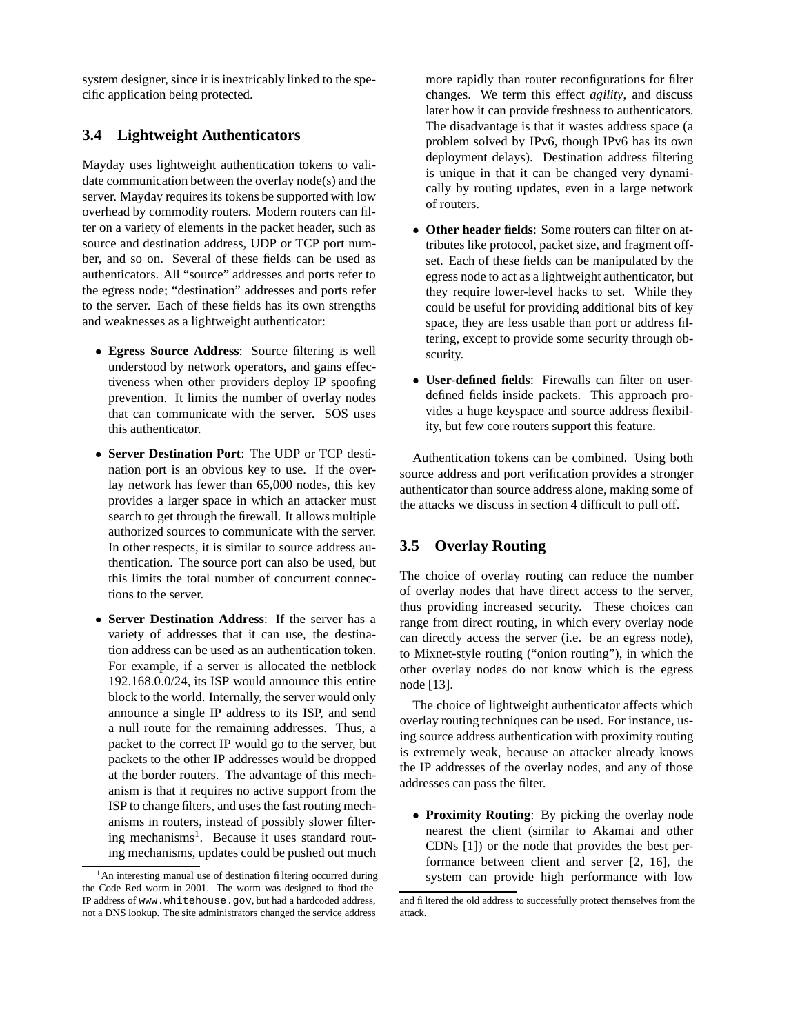system designer, since it is inextricably linked to the specific application being protected.

## **3.4 Lightweight Authenticators**

Mayday uses lightweight authentication tokens to validate communication between the overlay node(s) and the server. Mayday requires its tokens be supported with low overhead by commodity routers. Modern routers can filter on a variety of elements in the packet header, such as source and destination address, UDP or TCP port number, and so on. Several of these fields can be used as authenticators. All "source" addresses and ports refer to the egress node; "destination" addresses and ports refer to the server. Each of these fields has its own strengths and weaknesses as a lightweight authenticator:

- **Egress Source Address**: Source filtering is well understood by network operators, and gains effectiveness when other providers deploy IP spoofing prevention. It limits the number of overlay nodes that can communicate with the server. SOS uses this authenticator.
- **Server Destination Port**: The UDP or TCP destination port is an obvious key to use. If the overlay network has fewer than 65,000 nodes, this key provides a larger space in which an attacker must search to get through the firewall. It allows multiple authorized sources to communicate with the server. In other respects, it is similar to source address authentication. The source port can also be used, but this limits the total number of concurrent connections to the server.
- **Server Destination Address**: If the server has a variety of addresses that it can use, the destination address can be used as an authentication token. For example, if a server is allocated the netblock 192.168.0.0/24, its ISP would announce this entire block to the world. Internally, the server would only announce a single IP address to its ISP, and send a null route for the remaining addresses. Thus, a packet to the correct IP would go to the server, but packets to the other IP addresses would be dropped at the border routers. The advantage of this mechanism is that it requires no active support from the ISP to change filters, and uses the fast routing mechanisms in routers, instead of possibly slower filtering mechanisms<sup>1</sup>. Because it uses standard routing mechanisms, updates could be pushed out much

more rapidly than router reconfigurations for filter changes. We term this effect *agility*, and discuss later how it can provide freshness to authenticators. The disadvantage is that it wastes address space (a problem solved by IPv6, though IPv6 has its own deployment delays). Destination address filtering is unique in that it can be changed very dynamically by routing updates, even in a large network of routers.

- **Other header fields**: Some routers can filter on attributes like protocol, packet size, and fragment offset. Each of these fields can be manipulated by the egress node to act as a lightweight authenticator, but they require lower-level hacks to set. While they could be useful for providing additional bits of key space, they are less usable than port or address filtering, except to provide some security through obscurity.
- **User-defined fields**: Firewalls can filter on userdefined fields inside packets. This approach provides a huge keyspace and source address flexibility, but few core routers support this feature.

Authentication tokens can be combined. Using both source address and port verification provides a stronger authenticator than source address alone, making some of the attacks we discuss in section 4 difficult to pull off.

# **3.5 Overlay Routing**

The choice of overlay routing can reduce the number of overlay nodes that have direct access to the server, thus providing increased security. These choices can range from direct routing, in which every overlay node can directly access the server (i.e. be an egress node), to Mixnet-style routing ("onion routing"), in which the other overlay nodes do not know which is the egress node [13].

The choice of lightweight authenticator affects which overlay routing techniques can be used. For instance, using source address authentication with proximity routing is extremely weak, because an attacker already knows the IP addresses of the overlay nodes, and any of those addresses can pass the filter.

• **Proximity Routing**: By picking the overlay node nearest the client (similar to Akamai and other CDNs [1]) or the node that provides the best performance between client and server [2, 16], the system can provide high performance with low

 $<sup>1</sup>$ An interesting manual use of destination filtering occurred during</sup> the Code Red worm in 2001. The worm was designed to fbod the IP address of www.whitehouse.gov, but had a hardcoded address, not a DNS lookup. The site administrators changed the service address

and filtered the old address to successfully protect themselves from the attack.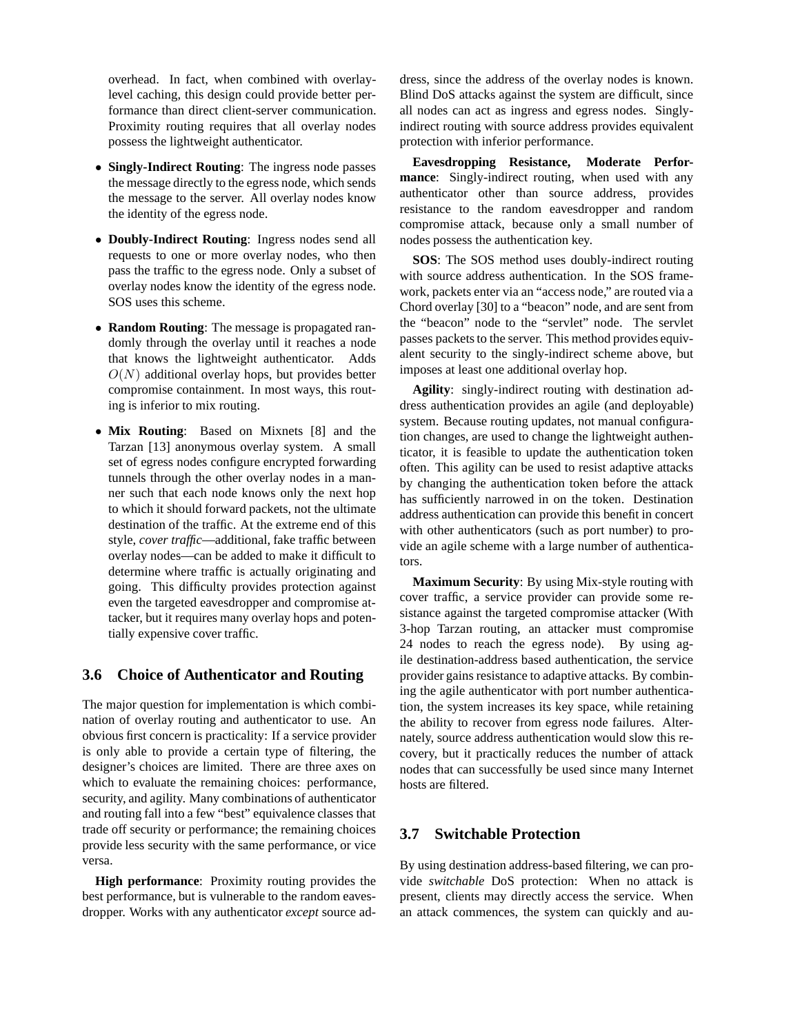overhead. In fact, when combined with overlaylevel caching, this design could provide better performance than direct client-server communication. Proximity routing requires that all overlay nodes possess the lightweight authenticator.

- **Singly-Indirect Routing**: The ingress node passes the message directly to the egress node, which sends the message to the server. All overlay nodes know the identity of the egress node.
- **Doubly-Indirect Routing**: Ingress nodes send all requests to one or more overlay nodes, who then pass the traffic to the egress node. Only a subset of overlay nodes know the identity of the egress node. SOS uses this scheme.
- **Random Routing**: The message is propagated randomly through the overlay until it reaches a node that knows the lightweight authenticator. Adds  $O(N)$  additional overlay hops, but provides better compromise containment. In most ways, this routing is inferior to mix routing.
- **Mix Routing**: Based on Mixnets [8] and the Tarzan [13] anonymous overlay system. A small set of egress nodes configure encrypted forwarding tunnels through the other overlay nodes in a manner such that each node knows only the next hop to which it should forward packets, not the ultimate destination of the traffic. At the extreme end of this style, *cover traffic*—additional, fake traffic between overlay nodes—can be added to make it difficult to determine where traffic is actually originating and going. This difficulty provides protection against even the targeted eavesdropper and compromise attacker, but it requires many overlay hops and potentially expensive cover traffic.

## **3.6 Choice of Authenticator and Routing**

The major question for implementation is which combination of overlay routing and authenticator to use. An obvious first concern is practicality: If a service provider is only able to provide a certain type of filtering, the designer's choices are limited. There are three axes on which to evaluate the remaining choices: performance, security, and agility. Many combinations of authenticator and routing fall into a few "best" equivalence classes that trade off security or performance; the remaining choices provide less security with the same performance, or vice versa.

**High performance**: Proximity routing provides the best performance, but is vulnerable to the random eavesdropper. Works with any authenticator *except* source ad-

dress, since the address of the overlay nodes is known. Blind DoS attacks against the system are difficult, since all nodes can act as ingress and egress nodes. Singlyindirect routing with source address provides equivalent protection with inferior performance.

**Eavesdropping Resistance, Moderate Performance**: Singly-indirect routing, when used with any authenticator other than source address, provides resistance to the random eavesdropper and random compromise attack, because only a small number of nodes possess the authentication key.

**SOS**: The SOS method uses doubly-indirect routing with source address authentication. In the SOS framework, packets enter via an "access node," are routed via a Chord overlay [30] to a "beacon" node, and are sent from the "beacon" node to the "servlet" node. The servlet passes packets to the server. This method provides equivalent security to the singly-indirect scheme above, but imposes at least one additional overlay hop.

**Agility**: singly-indirect routing with destination address authentication provides an agile (and deployable) system. Because routing updates, not manual configuration changes, are used to change the lightweight authenticator, it is feasible to update the authentication token often. This agility can be used to resist adaptive attacks by changing the authentication token before the attack has sufficiently narrowed in on the token. Destination address authentication can provide this benefit in concert with other authenticators (such as port number) to provide an agile scheme with a large number of authenticators.

**Maximum Security**: By using Mix-style routing with cover traffic, a service provider can provide some resistance against the targeted compromise attacker (With 3-hop Tarzan routing, an attacker must compromise 24 nodes to reach the egress node). By using agile destination-address based authentication, the service provider gains resistance to adaptive attacks. By combining the agile authenticator with port number authentication, the system increases its key space, while retaining the ability to recover from egress node failures. Alternately, source address authentication would slow this recovery, but it practically reduces the number of attack nodes that can successfully be used since many Internet hosts are filtered.

# **3.7 Switchable Protection**

By using destination address-based filtering, we can provide *switchable* DoS protection: When no attack is present, clients may directly access the service. When an attack commences, the system can quickly and au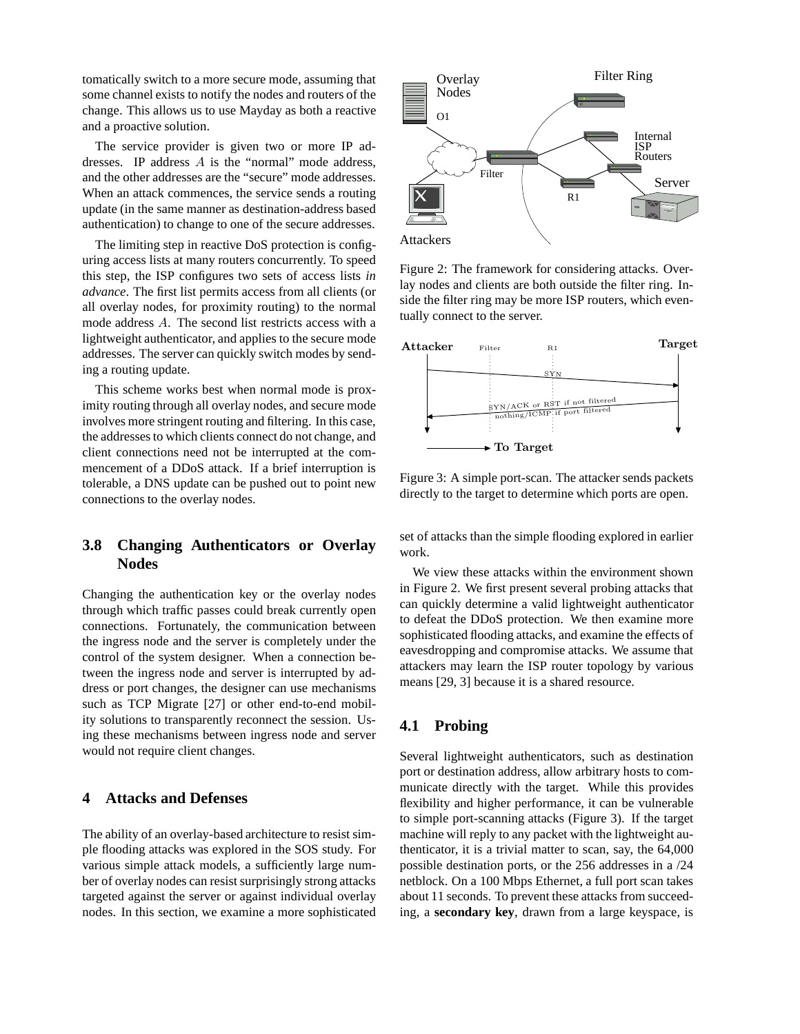tomatically switch to a more secure mode, assuming that some channel exists to notify the nodes and routers of the change. This allows us to use Mayday as both a reactive and a proactive solution.

The service provider is given two or more IP addresses. IP address A is the "normal" mode address, and the other addresses are the "secure" mode addresses. When an attack commences, the service sends a routing update (in the same manner as destination-address based authentication) to change to one of the secure addresses.

The limiting step in reactive DoS protection is configuring access lists at many routers concurrently. To speed this step, the ISP configures two sets of access lists *in advance*. The first list permits access from all clients (or all overlay nodes, for proximity routing) to the normal mode address A. The second list restricts access with a lightweight authenticator, and applies to the secure mode addresses. The server can quickly switch modes by sending a routing update.

This scheme works best when normal mode is proximity routing through all overlay nodes, and secure mode involves more stringent routing and filtering. In this case, the addressesto which clients connect do not change, and client connections need not be interrupted at the commencement of a DDoS attack. If a brief interruption is tolerable, a DNS update can be pushed out to point new connections to the overlay nodes.

# **3.8 Changing Authenticators or Overlay Nodes**

Changing the authentication key or the overlay nodes through which traffic passes could break currently open connections. Fortunately, the communication between the ingress node and the server is completely under the control of the system designer. When a connection between the ingress node and server is interrupted by address or port changes, the designer can use mechanisms such as TCP Migrate [27] or other end-to-end mobility solutions to transparently reconnect the session. Using these mechanisms between ingress node and server would not require client changes.

### **4 Attacks and Defenses**

The ability of an overlay-based architecture to resist simple flooding attacks was explored in the SOS study. For various simple attack models, a sufficiently large number of overlay nodes can resist surprisingly strong attacks targeted against the server or against individual overlay nodes. In this section, we examine a more sophisticated



Figure 2: The framework for considering attacks. Overlay nodes and clients are both outside the filter ring. Inside the filter ring may be more ISP routers, which eventually connect to the server.



Figure 3: A simple port-scan. The attacker sends packets directly to the target to determine which ports are open.

set of attacks than the simple flooding explored in earlier work.

We view these attacks within the environment shown in Figure 2. We first present several probing attacks that can quickly determine a valid lightweight authenticator to defeat the DDoS protection. We then examine more sophisticated flooding attacks, and examine the effects of eavesdropping and compromise attacks. We assume that attackers may learn the ISP router topology by various means [29, 3] because it is a shared resource.

# **4.1 Probing**

Several lightweight authenticators, such as destination port or destination address, allow arbitrary hosts to communicate directly with the target. While this provides flexibility and higher performance, it can be vulnerable to simple port-scanning attacks (Figure 3). If the target machine will reply to any packet with the lightweight authenticator, it is a trivial matter to scan, say, the 64,000 possible destination ports, or the 256 addresses in a /24 netblock. On a 100 Mbps Ethernet, a full port scan takes about 11 seconds. To prevent these attacks from succeeding, a **secondary key**, drawn from a large keyspace, is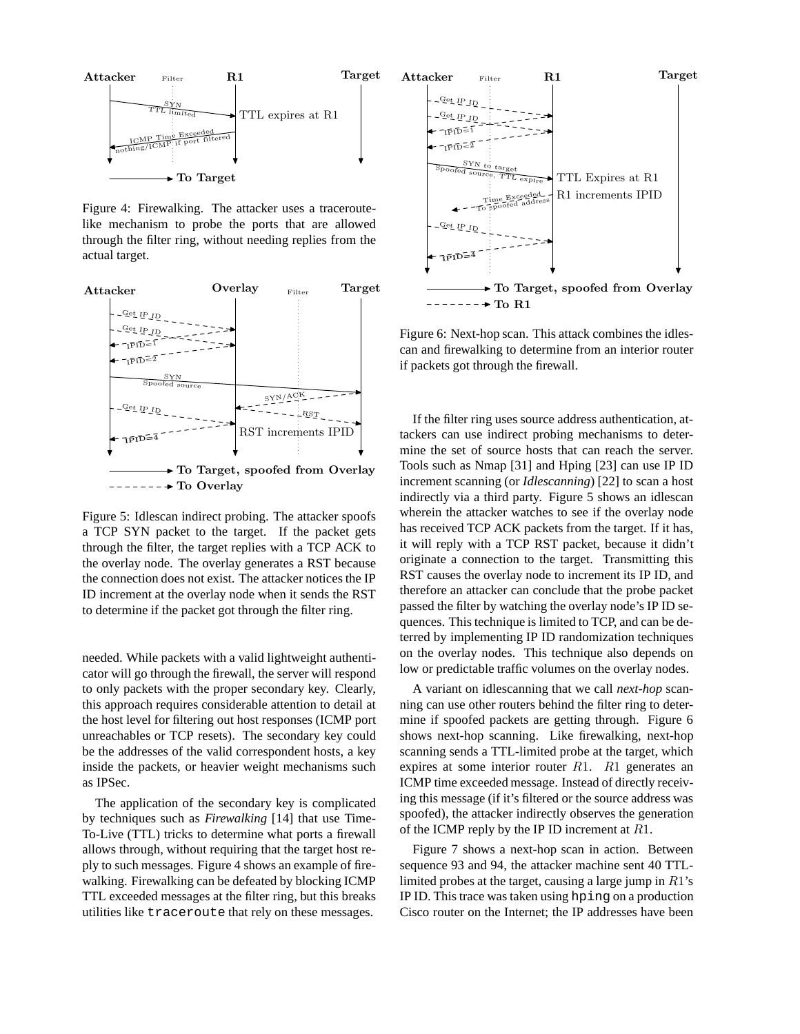

Figure 4: Firewalking. The attacker uses a traceroutelike mechanism to probe the ports that are allowed through the filter ring, without needing replies from the actual target.



Figure 5: Idlescan indirect probing. The attacker spoofs a TCP SYN packet to the target. If the packet gets through the filter, the target replies with a TCP ACK to the overlay node. The overlay generates a RST because the connection does not exist. The attacker notices the IP ID increment at the overlay node when it sends the RST to determine if the packet got through the filter ring.

needed. While packets with a valid lightweight authenticator will go through the firewall, the server will respond to only packets with the proper secondary key. Clearly, this approach requires considerable attention to detail at the host level for filtering out host responses (ICMP port unreachables or TCP resets). The secondary key could be the addresses of the valid correspondent hosts, a key inside the packets, or heavier weight mechanisms such as IPSec.

The application of the secondary key is complicated by techniques such as *Firewalking* [14] that use Time-To-Live (TTL) tricks to determine what ports a firewall allows through, without requiring that the target host reply to such messages. Figure 4 shows an example of firewalking. Firewalking can be defeated by blocking ICMP TTL exceeded messages at the filter ring, but this breaks utilities like traceroute that rely on these messages.



Figure 6: Next-hop scan. This attack combines the idlescan and firewalking to determine from an interior router if packets got through the firewall.

If the filter ring uses source address authentication, attackers can use indirect probing mechanisms to determine the set of source hosts that can reach the server. Tools such as Nmap [31] and Hping [23] can use IP ID increment scanning (or *Idlescanning*) [22] to scan a host indirectly via a third party. Figure 5 shows an idlescan wherein the attacker watches to see if the overlay node has received TCP ACK packets from the target. If it has, it will reply with a TCP RST packet, because it didn't originate a connection to the target. Transmitting this RST causes the overlay node to increment its IP ID, and therefore an attacker can conclude that the probe packet passed the filter by watching the overlay node's IP ID sequences. This technique is limited to TCP, and can be deterred by implementing IP ID randomization techniques on the overlay nodes. This technique also depends on low or predictable traffic volumes on the overlay nodes.

A variant on idlescanning that we call *next-hop* scanning can use other routers behind the filter ring to determine if spoofed packets are getting through. Figure 6 shows next-hop scanning. Like firewalking, next-hop scanning sends a TTL-limited probe at the target, which expires at some interior router  $R1$ .  $R1$  generates an ICMP time exceeded message. Instead of directly receiving this message (if it's filtered or the source address was spoofed), the attacker indirectly observes the generation of the ICMP reply by the IP ID increment at  $R1$ .

Figure 7 shows a next-hop scan in action. Between sequence 93 and 94, the attacker machine sent 40 TTLlimited probes at the target, causing a large jump in  $R1$ 's IP ID. This trace was taken using hping on a production Cisco router on the Internet; the IP addresses have been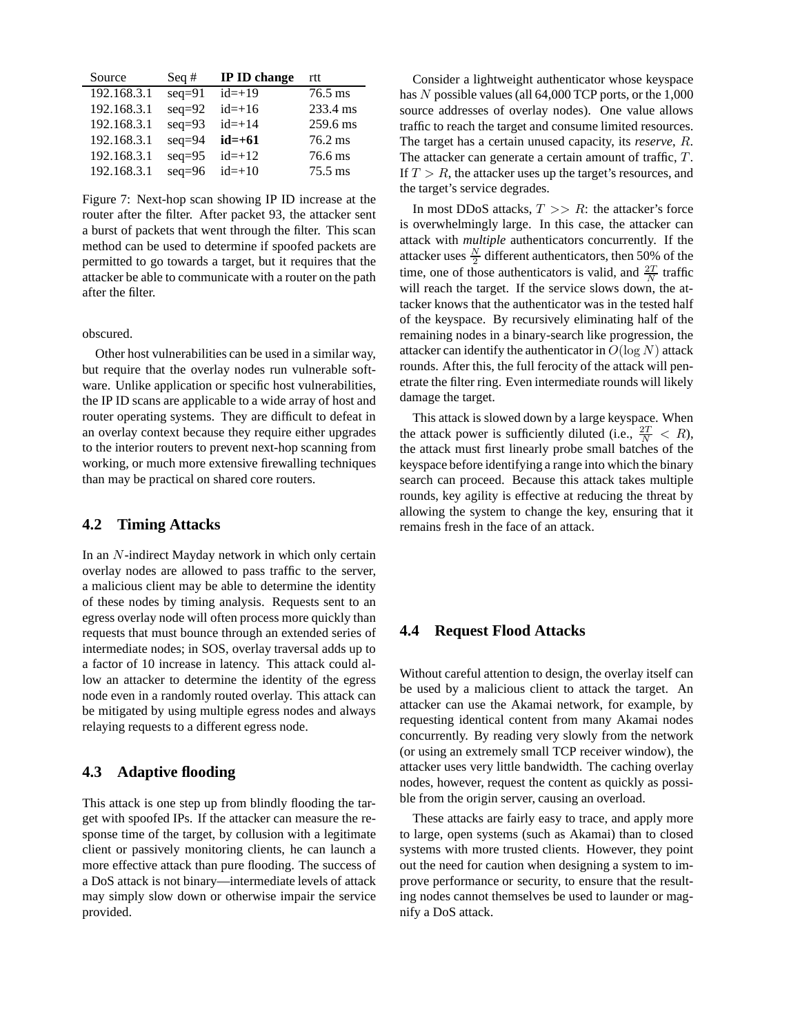| Source      | Seq $#$  | IP ID change | rtt               |
|-------------|----------|--------------|-------------------|
| 192.168.3.1 | $seq=91$ | $id=+19$     | $76.5$ ms         |
| 192.168.3.1 | $seq=92$ | $id=+16$     | 233.4 ms          |
| 192.168.3.1 | $seq=93$ | $id=+14$     | 259.6 ms          |
| 192.168.3.1 | $seq=94$ | $id = +61$   | $76.2 \text{ ms}$ |
| 192.168.3.1 | $seq=95$ | $id=+12$     | 76.6 ms           |
| 192.168.3.1 | $seq=96$ | $id=+10$     | $75.5$ ms         |

Figure 7: Next-hop scan showing IP ID increase at the router after the filter. After packet 93, the attacker sent a burst of packets that went through the filter. This scan method can be used to determine if spoofed packets are permitted to go towards a target, but it requires that the attacker be able to communicate with a router on the path after the filter.

obscured.

Other host vulnerabilities can be used in a similar way, but require that the overlay nodes run vulnerable software. Unlike application or specific host vulnerabilities, the IP ID scans are applicable to a wide array of host and router operating systems. They are difficult to defeat in an overlay context because they require either upgrades to the interior routers to prevent next-hop scanning from working, or much more extensive firewalling techniques than may be practical on shared core routers.

## **4.2 Timing Attacks**

In an N-indirect Mayday network in which only certain overlay nodes are allowed to pass traffic to the server, a malicious client may be able to determine the identity of these nodes by timing analysis. Requests sent to an egress overlay node will often process more quickly than requests that must bounce through an extended series of intermediate nodes; in SOS, overlay traversal adds up to a factor of 10 increase in latency. This attack could allow an attacker to determine the identity of the egress node even in a randomly routed overlay. This attack can be mitigated by using multiple egress nodes and always relaying requests to a different egress node.

## **4.3 Adaptive flooding**

This attack is one step up from blindly flooding the target with spoofed IPs. If the attacker can measure the response time of the target, by collusion with a legitimate client or passively monitoring clients, he can launch a more effective attack than pure flooding. The success of a DoS attack is not binary—intermediate levels of attack may simply slow down or otherwise impair the service provided.

Consider a lightweight authenticator whose keyspace has N possible values (all 64,000 TCP ports, or the 1,000 source addresses of overlay nodes). One value allows traffic to reach the target and consume limited resources. The target has a certain unused capacity, its *reserve*, R. The attacker can generate a certain amount of traffic, T. If  $T > R$ , the attacker uses up the target's resources, and the target's service degrades.

In most DDoS attacks,  $T \gg R$ : the attacker's force is overwhelmingly large. In this case, the attacker can attack with *multiple* authenticators concurrently. If the attacker uses  $\frac{N}{2}$  different authenticators, then 50% of the time, one of those authenticators is valid, and  $\frac{2T}{N}$  traffic will reach the target. If the service slows down, the attacker knows that the authenticator was in the tested half of the keyspace. By recursively eliminating half of the remaining nodes in a binary-search like progression, the attacker can identify the authenticator in  $O(\log N)$  attack rounds. After this, the full ferocity of the attack will penetrate the filter ring. Even intermediate rounds will likely damage the target.

This attack is slowed down by a large keyspace. When the attack power is sufficiently diluted (i.e.,  $\frac{2T}{N} < R$ ), the attack must first linearly probe small batches of the keyspace before identifying a range into which the binary search can proceed. Because this attack takes multiple rounds, key agility is effective at reducing the threat by allowing the system to change the key, ensuring that it remains fresh in the face of an attack.

### **4.4 Request Flood Attacks**

Without careful attention to design, the overlay itself can be used by a malicious client to attack the target. An attacker can use the Akamai network, for example, by requesting identical content from many Akamai nodes concurrently. By reading very slowly from the network (or using an extremely small TCP receiver window), the attacker uses very little bandwidth. The caching overlay nodes, however, request the content as quickly as possible from the origin server, causing an overload.

These attacks are fairly easy to trace, and apply more to large, open systems (such as Akamai) than to closed systems with more trusted clients. However, they point out the need for caution when designing a system to improve performance or security, to ensure that the resulting nodes cannot themselves be used to launder or magnify a DoS attack.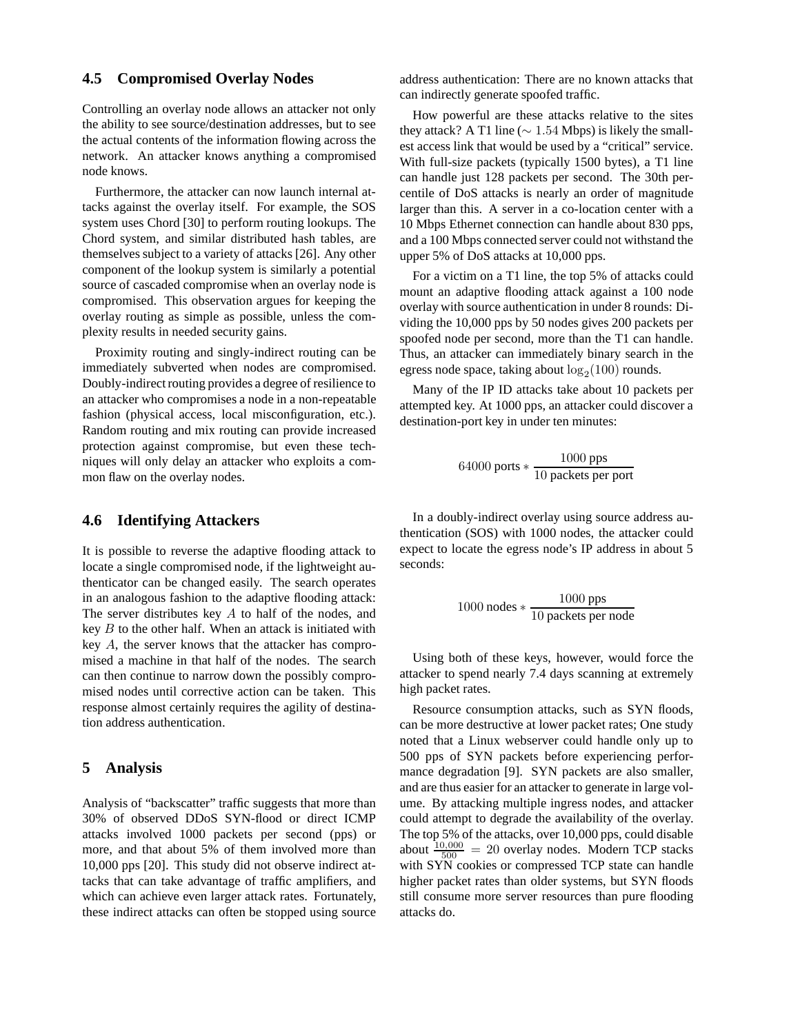# **4.5 Compromised Overlay Nodes**

Controlling an overlay node allows an attacker not only the ability to see source/destination addresses, but to see the actual contents of the information flowing across the network. An attacker knows anything a compromised node knows.

Furthermore, the attacker can now launch internal attacks against the overlay itself. For example, the SOS system uses Chord [30] to perform routing lookups. The Chord system, and similar distributed hash tables, are themselves subject to a variety of attacks [26]. Any other component of the lookup system is similarly a potential source of cascaded compromise when an overlay node is compromised. This observation argues for keeping the overlay routing as simple as possible, unless the complexity results in needed security gains.

Proximity routing and singly-indirect routing can be immediately subverted when nodes are compromised. Doubly-indirectrouting provides a degree of resilience to an attacker who compromises a node in a non-repeatable fashion (physical access, local misconfiguration, etc.). Random routing and mix routing can provide increased protection against compromise, but even these techniques will only delay an attacker who exploits a common flaw on the overlay nodes.

### **4.6 Identifying Attackers**

It is possible to reverse the adaptive flooding attack to locate a single compromised node, if the lightweight authenticator can be changed easily. The search operates in an analogous fashion to the adaptive flooding attack: The server distributes key A to half of the nodes, and key  $B$  to the other half. When an attack is initiated with key A, the server knows that the attacker has compromised a machine in that half of the nodes. The search can then continue to narrow down the possibly compromised nodes until corrective action can be taken. This response almost certainly requires the agility of destination address authentication.

# **5 Analysis**

Analysis of "backscatter" traffic suggests that more than 30% of observed DDoS SYN-flood or direct ICMP attacks involved 1000 packets per second (pps) or more, and that about 5% of them involved more than 10,000 pps [20]. This study did not observe indirect attacks that can take advantage of traffic amplifiers, and which can achieve even larger attack rates. Fortunately, these indirect attacks can often be stopped using source

address authentication: There are no known attacks that can indirectly generate spoofed traffic.

How powerful are these attacks relative to the sites they attack? A T1 line ( $\sim 1.54$  Mbps) is likely the smallest access link that would be used by a "critical" service. With full-size packets (typically 1500 bytes), a T1 line can handle just 128 packets per second. The 30th percentile of DoS attacks is nearly an order of magnitude larger than this. A server in a co-location center with a 10 Mbps Ethernet connection can handle about 830 pps, and a 100 Mbps connected server could not withstand the upper 5% of DoS attacks at 10,000 pps.

For a victim on a T1 line, the top 5% of attacks could mount an adaptive flooding attack against a 100 node overlay with source authentication in under 8 rounds: Dividing the 10,000 pps by 50 nodes gives 200 packets per spoofed node per second, more than the T1 can handle. Thus, an attacker can immediately binary search in the egress node space, taking about  $log_2(100)$  rounds.

Many of the IP ID attacks take about 10 packets per attempted key. At 1000 pps, an attacker could discover a destination-port key in under ten minutes:

$$
64000 \text{ ports} * \frac{1000 \text{pps}}{10 \text{ packets per port}}
$$

In a doubly-indirect overlay using source address authentication (SOS) with 1000 nodes, the attacker could expect to locate the egress node's IP address in about 5 seconds:

$$
1000 \text{ nodes} * \frac{1000 \text{ pps}}{10 \text{ packets per node}}
$$

Using both of these keys, however, would force the attacker to spend nearly 7.4 days scanning at extremely high packet rates.

Resource consumption attacks, such as SYN floods, can be more destructive at lower packet rates; One study noted that a Linux webserver could handle only up to 500 pps of SYN packets before experiencing performance degradation [9]. SYN packets are also smaller, and are thus easier for an attacker to generate in large volume. By attacking multiple ingress nodes, and attacker could attempt to degrade the availability of the overlay. The top 5% of the attacks, over 10,000 pps, could disable about  $\frac{10,000}{500}$  = 20 overlay nodes. Modern TCP stacks with SYN cookies or compressed TCP state can handle higher packet rates than older systems, but SYN floods still consume more server resources than pure flooding attacks do.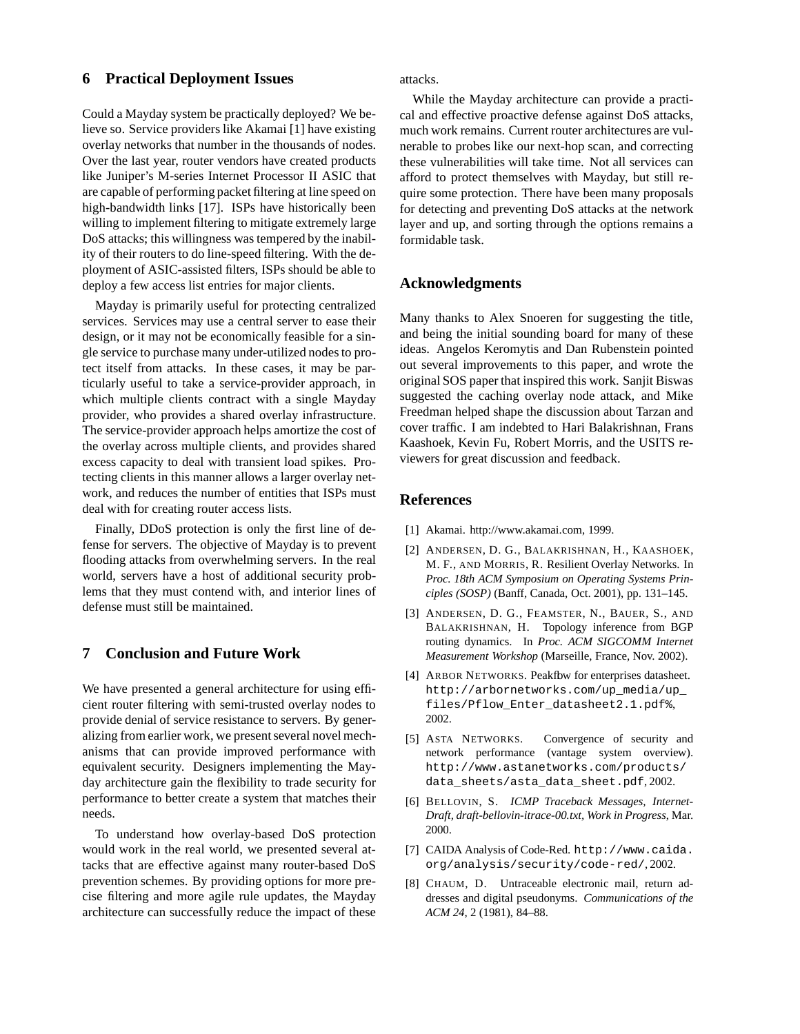### **6 Practical Deployment Issues**

Could a Mayday system be practically deployed? We believe so. Service providers like Akamai [1] have existing overlay networks that number in the thousands of nodes. Over the last year, router vendors have created products like Juniper's M-series Internet Processor II ASIC that are capable of performing packet filtering at line speed on high-bandwidth links [17]. ISPs have historically been willing to implement filtering to mitigate extremely large DoS attacks; this willingness was tempered by the inability of their routers to do line-speed filtering. With the deployment of ASIC-assisted filters, ISPs should be able to deploy a few access list entries for major clients.

Mayday is primarily useful for protecting centralized services. Services may use a central server to ease their design, or it may not be economically feasible for a single service to purchase many under-utilized nodesto protect itself from attacks. In these cases, it may be particularly useful to take a service-provider approach, in which multiple clients contract with a single Mayday provider, who provides a shared overlay infrastructure. The service-provider approach helps amortize the cost of the overlay across multiple clients, and provides shared excess capacity to deal with transient load spikes. Protecting clients in this manner allows a larger overlay network, and reduces the number of entities that ISPs must deal with for creating router access lists.

Finally, DDoS protection is only the first line of defense for servers. The objective of Mayday is to prevent flooding attacks from overwhelming servers. In the real world, servers have a host of additional security problems that they must contend with, and interior lines of defense must still be maintained.

# **7 Conclusion and Future Work**

We have presented a general architecture for using efficient router filtering with semi-trusted overlay nodes to provide denial of service resistance to servers. By generalizing from earlier work, we present several novel mechanisms that can provide improved performance with equivalent security. Designers implementing the Mayday architecture gain the flexibility to trade security for performance to better create a system that matches their needs.

To understand how overlay-based DoS protection would work in the real world, we presented several attacks that are effective against many router-based DoS prevention schemes. By providing options for more precise filtering and more agile rule updates, the Mayday architecture can successfully reduce the impact of these

attacks.

While the Mayday architecture can provide a practical and effective proactive defense against DoS attacks, much work remains. Current router architectures are vulnerable to probes like our next-hop scan, and correcting these vulnerabilities will take time. Not all services can afford to protect themselves with Mayday, but still require some protection. There have been many proposals for detecting and preventing DoS attacks at the network layer and up, and sorting through the options remains a formidable task.

### **Acknowledgments**

Many thanks to Alex Snoeren for suggesting the title, and being the initial sounding board for many of these ideas. Angelos Keromytis and Dan Rubenstein pointed out several improvements to this paper, and wrote the original SOS paper that inspired this work. Sanjit Biswas suggested the caching overlay node attack, and Mike Freedman helped shape the discussion about Tarzan and cover traffic. I am indebted to Hari Balakrishnan, Frans Kaashoek, Kevin Fu, Robert Morris, and the USITS reviewers for great discussion and feedback.

### **References**

- [1] Akamai. http://www.akamai.com, 1999.
- [2] ANDERSEN, D. G., BALAKRISHNAN, H., KAASHOEK, M. F., AND MORRIS, R. Resilient Overlay Networks. In *Proc. 18th ACM Symposium on Operating Systems Principles (SOSP)* (Banff, Canada, Oct. 2001), pp. 131–145.
- [3] ANDERSEN, D. G., FEAMSTER, N., BAUER, S., AND BALAKRISHNAN, H. Topology inference from BGP routing dynamics. In *Proc. ACM SIGCOMM Internet Measurement Workshop* (Marseille, France, Nov. 2002).
- [4] ARBOR NETWORKS. Peakfbw for enterprises datasheet. http://arbornetworks.com/up\_media/up\_ files/Pflow\_Enter\_datasheet2.1.pdf%, 2002.
- [5] ASTA NETWORKS. Convergence of security and network performance (vantage system overview). http://www.astanetworks.com/products/ data\_sheets/asta\_data\_sheet.pdf, 2002.
- [6] BELLOVIN, S. *ICMP Traceback Messages, Internet-Draft, draft-bellovin-itrace-00.txt, Work in Progress*, Mar. 2000.
- [7] CAIDA Analysis of Code-Red. http://www.caida. org/analysis/security/code-red/, 2002.
- [8] CHAUM, D. Untraceable electronic mail, return addresses and digital pseudonyms. *Communications of the ACM 24*, 2 (1981), 84–88.